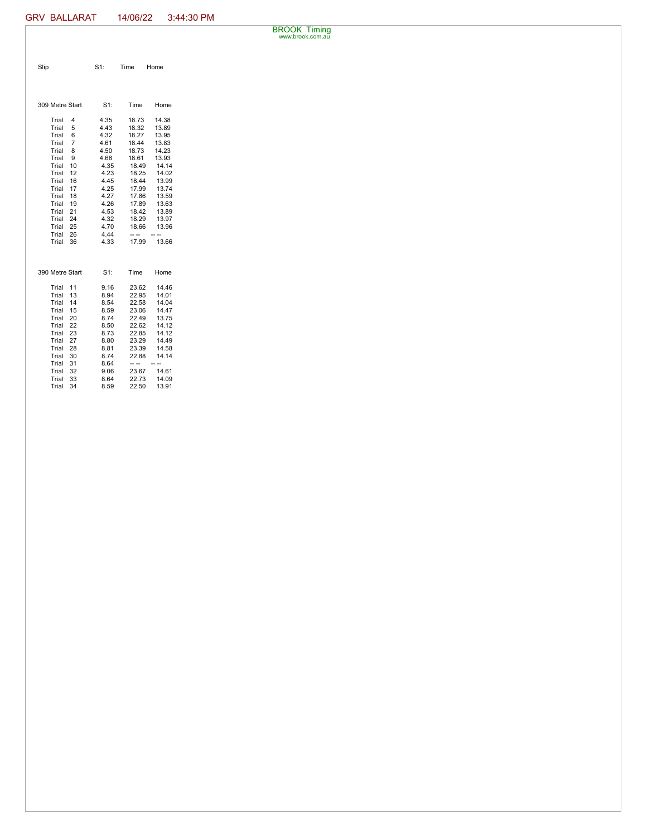BROOK Timing www.brook.com.au

| Slip                                                                                                                                                                                                                                                  | $S1$ :                                                                                                                               | Time                                                                                                                                                  | Home                                                                                                                                         |
|-------------------------------------------------------------------------------------------------------------------------------------------------------------------------------------------------------------------------------------------------------|--------------------------------------------------------------------------------------------------------------------------------------|-------------------------------------------------------------------------------------------------------------------------------------------------------|----------------------------------------------------------------------------------------------------------------------------------------------|
| 309 Metre Start                                                                                                                                                                                                                                       | $S1$ :                                                                                                                               | Time                                                                                                                                                  | Home                                                                                                                                         |
| Trial<br>4<br>Trial<br>5<br>Trial<br>6<br>Trial<br>7<br>Trial<br>8<br>Trial<br>9<br>10<br>Trial<br>Trial<br>12<br>Trial<br>16<br>17<br>Trial<br>Trial<br>18<br>Trial<br>19<br>Trial<br>21<br>24<br>Trial<br>25<br>Trial<br>Trial<br>26<br>Trial<br>36 | 4.35<br>4.43<br>4.32<br>4.61<br>4.50<br>4.68<br>4.35<br>4.23<br>4.45<br>4.25<br>4.27<br>4.26<br>4.53<br>4.32<br>4.70<br>4.44<br>4.33 | 18.73<br>18.32<br>18.27<br>18.44<br>18.73<br>18.61<br>18.49<br>18.25<br>18.44<br>17.99<br>17.86<br>17.89<br>18.42<br>18.29<br>18.66<br>-- --<br>17.99 | 14.38<br>13.89<br>13.95<br>13.83<br>14.23<br>13.93<br>14.14<br>14.02<br>13.99<br>13.74<br>13.59<br>13.63<br>13.89<br>13.97<br>13.96<br>13.66 |
| 390 Metre Start                                                                                                                                                                                                                                       | $S1$ :                                                                                                                               | Time                                                                                                                                                  | Home                                                                                                                                         |
| Trial<br>11<br>Trial<br>13<br>14<br>Trial<br>Trial<br>15<br>Trial<br>20<br>22<br>Trial<br>Trial<br>23<br>Trial<br>27<br>Trial<br>28<br>Trial<br>30<br>31<br>Trial<br>Trial<br>32<br>Trial<br>33<br>34<br>Trial                                        | 9.16<br>8.94<br>8.54<br>8.59<br>8.74<br>8.50<br>8.73<br>8.80<br>8.81<br>8.74<br>8.64<br>9.06<br>8.64<br>8.59                         | 23.62<br>22.95<br>22.58<br>23.06<br>22.49<br>22.62<br>22.85<br>23.29<br>23.39<br>22.88<br>23.67<br>22.73<br>22.50                                     | 14.46<br>14.01<br>14.04<br>14.47<br>13.75<br>14.12<br>14.12<br>14.49<br>14.58<br>14.14<br>14.61<br>14.09<br>13.91                            |